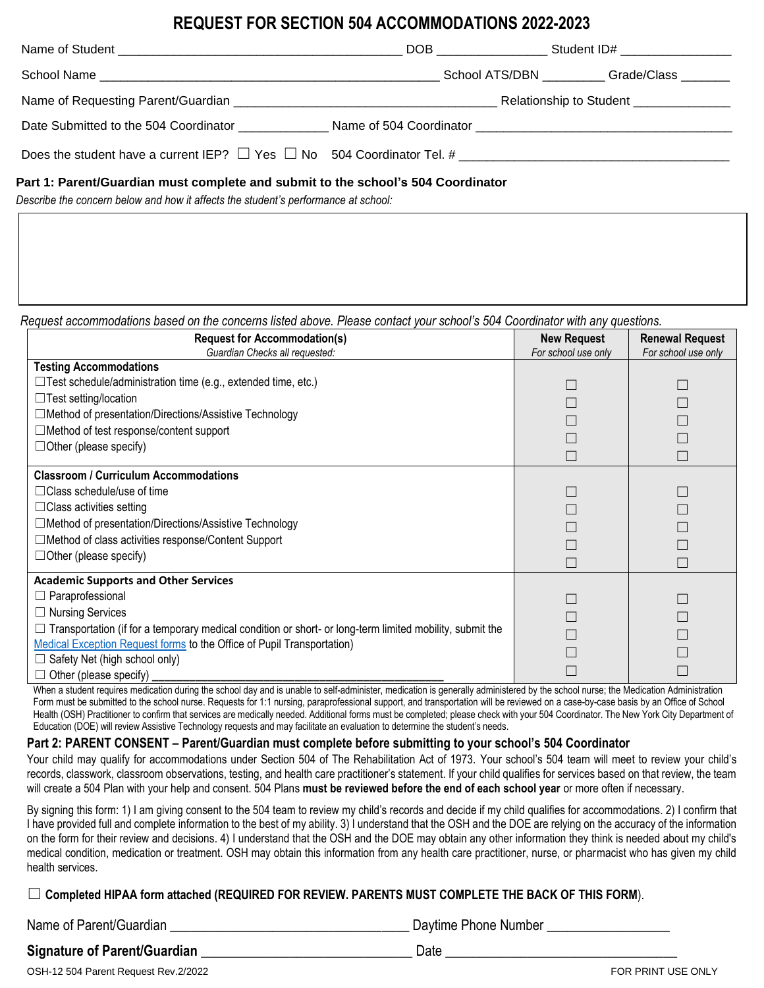# **REQUEST FOR SECTION 504 ACCOMMODATIONS 2022-2023**

|                                                                                  | School ATS/DBN _________Grade/Class _______ |
|----------------------------------------------------------------------------------|---------------------------------------------|
|                                                                                  | Relationship to Student _______________     |
| Date Submitted to the 504 Coordinator                                            |                                             |
| Does the student have a current IEP? $\Box$ Yes $\Box$ No 504 Coordinator Tel. # |                                             |
|                                                                                  |                                             |

### **Part 1: Parent/Guardian must complete and submit to the school's 504 Coordinator**

*Describe the concern below and how it affects the student's performance at school:*

*Request accommodations based on the concerns listed above. Please contact your school's 504 Coordinator with any questions.*

| <b>Request for Accommodation(s)</b><br>Guardian Checks all requested:                                                                                                                                                                                                                                                                              | <b>New Request</b><br>For school use only | <b>Renewal Request</b><br>For school use only |
|----------------------------------------------------------------------------------------------------------------------------------------------------------------------------------------------------------------------------------------------------------------------------------------------------------------------------------------------------|-------------------------------------------|-----------------------------------------------|
| <b>Testing Accommodations</b><br>$\Box$ Test schedule/administration time (e.g., extended time, etc.)<br>$\Box$ Test setting/location<br>□ Method of presentation/Directions/Assistive Technology<br>$\Box$ Method of test response/content support<br>$\Box$ Other (please specify)                                                               |                                           |                                               |
| <b>Classroom / Curriculum Accommodations</b><br>$\Box$ Class schedule/use of time<br>$\Box$ Class activities setting<br>□ Method of presentation/Directions/Assistive Technology<br>□Method of class activities response/Content Support<br>$\Box$ Other (please specify)                                                                          |                                           |                                               |
| <b>Academic Supports and Other Services</b><br>Paraprofessional<br><b>Nursing Services</b><br>$\Box$ Transportation (if for a temporary medical condition or short- or long-term limited mobility, submit the<br>Medical Exception Request forms to the Office of Pupil Transportation)<br>Safety Net (high school only)<br>Other (please specify) |                                           |                                               |

When a student requires medication during the school day and is unable to self-administer, medication is generally administered by the school nurse; the Medication Administration Form must be submitted to the school nurse. Requests for 1:1 nursing, paraprofessional support, and transportation will be reviewed on a case-by-case basis by an Office of School Health (OSH) Practitioner to confirm that services are medically needed. Additional forms must be completed; please check with your 504 Coordinator. The New York City Department of Education (DOE) will review Assistive Technology requests and may facilitate an evaluation to determine the student's needs.

## **Part 2: PARENT CONSENT – Parent/Guardian must complete before submitting to your school's 504 Coordinator**

Your child may qualify for accommodations under Section 504 of The Rehabilitation Act of 1973. Your school's 504 team will meet to review your child's records, classwork, classroom observations, testing, and health care practitioner's statement. If your child qualifies for services based on that review, the team will create a 504 Plan with your help and consent. 504 Plans **must be reviewed before the end of each school year** or more often if necessary.

By signing this form: 1) I am giving consent to the 504 team to review my child's records and decide if my child qualifies for accommodations. 2) I confirm that I have provided full and complete information to the best of my ability. 3) I understand that the OSH and the DOE are relying on the accuracy of the information on the form for their review and decisions. 4) I understand that the OSH and the DOE may obtain any other information they think is needed about my child's medical condition, medication or treatment. OSH may obtain this information from any health care practitioner, nurse, or pharmacist who has given my child health services.

☐ **Completed HIPAA form attached (REQUIRED FOR REVIEW. PARENTS MUST COMPLETE THE BACK OF THIS FORM**).

| Name of Parent/Guardian      | Daytime Phone Number |
|------------------------------|----------------------|
| Signature of Parent/Guardian | Date                 |